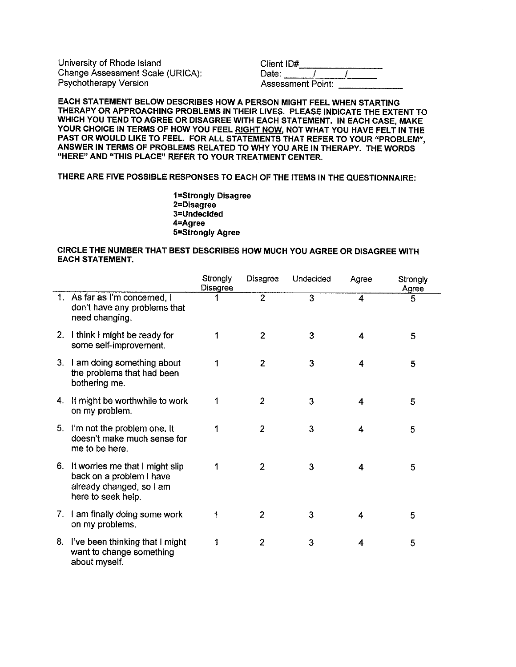University of Rhode Island Change Assessment Scale (URICA): Psychotherapy Version

| Client ID#               |  |  |
|--------------------------|--|--|
|                          |  |  |
| Date:                    |  |  |
| <b>Assessment Point:</b> |  |  |

**EACH STATEMENT BELOW DESCRIBES HOW A PERSON MIGHT** FEEL **WHEN STARTING THERAPY OR APPROACHING PROBLEMS IN THEIR LIVES. PLEASE INDICATE** THE **EXTENT** TO **WHICH YOU TEND TO AGREE OR DISAGREE WITH EACH STATEMENT. IN EACH CASE, MAKE YOUR CHOICE IN TERMS OF HOW YOU** FEEL **RIGHT NOW, NOT WHAT YOU HAVE** FELT IN THE **PAST OR WOULD LIKE TO** FEEL. **FOR ALL STATEMENTS THAT REFER TO YOUR "PROBLEM", ANSWER IN TERMS OF PROBLEMS RELATED TO WHY YOU ARE IN THERAPY.** THE **WORDS**  "HERE" **AND "THIS PLACE" REFER TO YOUR TREATMENT CENTER.** 

## **THERE ARE FIVE POSSIBLE RESPONSES TO EACH OF** THE **ITEMS IN** THE **QUESTIONNAIRE:**

**1 =Strongly Disagree 2=Dlsagree 3=Undeclded 4=Agree 5=Strongly Agree** 

## **CIRCLE** THE **NUMBER THAT BEST DESCRIBES HOW MUCH YOU AGREE OR DISAGREE WITH EACH STATEMENT.**

|    |                                                                                                               | Strongly<br>Disagree | <b>Disagree</b> | Undecided      | Agree | Strongly<br>Agree |
|----|---------------------------------------------------------------------------------------------------------------|----------------------|-----------------|----------------|-------|-------------------|
|    | 1. As far as I'm concerned, I<br>don't have any problems that<br>need changing.                               |                      | $\overline{2}$  | $\overline{3}$ | 4     | 5                 |
|    | 2. I think I might be ready for<br>some self-improvement.                                                     | 1                    | $\overline{2}$  | 3              | 4     | 5                 |
| 3. | I am doing something about<br>the problems that had been<br>bothering me.                                     |                      | 2               | 3              | 4     | 5                 |
|    | 4. It might be worthwhile to work<br>on my problem.                                                           |                      | $\overline{2}$  | 3              | 4     | 5                 |
|    | 5. I'm not the problem one. It<br>doesn't make much sense for<br>me to be here.                               |                      | $\overline{c}$  | 3              | 4     | 5                 |
| 6. | It worries me that I might slip<br>back on a problem I have<br>already changed, so I am<br>here to seek help. |                      | 2               | 3              | 4     | 5                 |
|    | 7. I am finally doing some work<br>on my problems.                                                            | 1                    | 2               | 3              | 4     | 5                 |
| 8. | I've been thinking that I might<br>want to change something<br>about myself.                                  |                      | 2               | 3              | 4     | 5                 |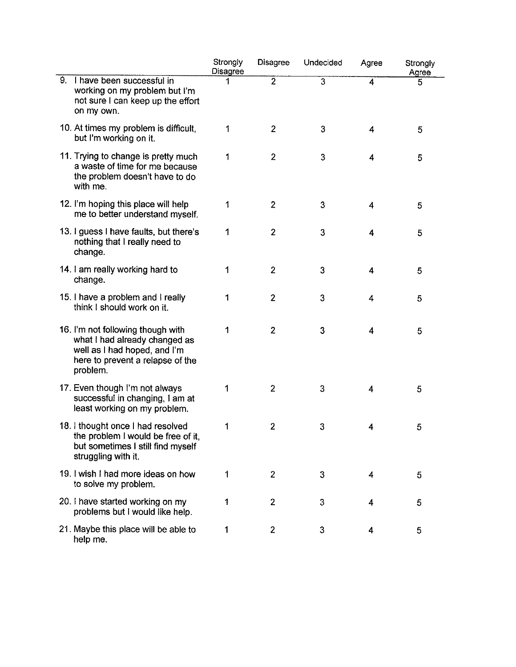|    |                                                                                                                                                    | Strongly<br><b>Disagree</b> | <b>Disagree</b> | Undecided      | Agree | Strongly<br>Agree |  |
|----|----------------------------------------------------------------------------------------------------------------------------------------------------|-----------------------------|-----------------|----------------|-------|-------------------|--|
| 9. | I have been successful in<br>working on my problem but I'm<br>not sure I can keep up the effort<br>on my own.                                      |                             | $\overline{2}$  | $\overline{3}$ | 4     | 5                 |  |
|    | 10. At times my problem is difficult,<br>but I'm working on it.                                                                                    | 1                           | $\overline{2}$  | 3              | 4     | 5                 |  |
|    | 11. Trying to change is pretty much<br>a waste of time for me because<br>the problem doesn't have to do<br>with me.                                | 1                           | $\overline{2}$  | 3              | 4     | 5                 |  |
|    | 12. I'm hoping this place will help<br>me to better understand myself.                                                                             | 1                           | $\mathbf{2}$    | 3              | 4     | 5                 |  |
|    | 13. I guess I have faults, but there's<br>nothing that I really need to<br>change.                                                                 | 1                           | $\overline{2}$  | 3              | 4     | 5                 |  |
|    | 14. I am really working hard to<br>change.                                                                                                         | 1                           | $\overline{2}$  | 3              | 4     | 5                 |  |
|    | 15. I have a problem and I really<br>think I should work on it.                                                                                    | 1                           | $\overline{2}$  | 3              | 4     | 5                 |  |
|    | 16. I'm not following though with<br>what I had already changed as<br>well as I had hoped, and I'm<br>here to prevent a relapse of the<br>problem. | 1                           | $\overline{2}$  | 3              | 4     | 5                 |  |
|    | 17. Even though I'm not always<br>successful in changing. I am at<br>least working on my problem.                                                  | 1                           | $\overline{2}$  | 3              | 4     | 5                 |  |
|    | 18. I thought once I had resolved<br>the problem I would be free of it,<br>but sometimes I still find myself<br>struggling with it.                | 1                           | $\overline{2}$  | 3              | 4     | 5                 |  |
|    | 19. I wish I had more ideas on how<br>to solve my problem.                                                                                         | 1                           | $\overline{2}$  | 3              | 4     | 5                 |  |
|    | 20. I have started working on my<br>problems but I would like help.                                                                                | 1                           | $\overline{2}$  | 3              | 4     | 5                 |  |
|    | 21. Maybe this place will be able to<br>help me.                                                                                                   | 1                           | $\mathbf{2}$    | 3              | 4     | 5                 |  |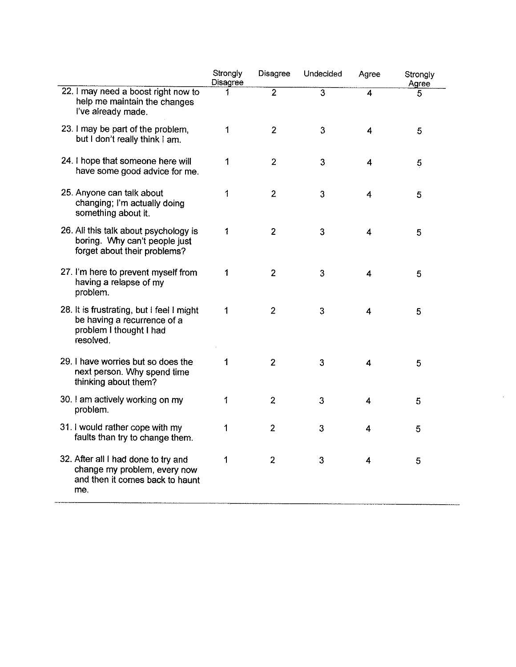|                                                                                                                  | Strongly<br>Disagree | <b>Disagree</b> | Undecided      | Agree                   | Strongly<br>Agree |
|------------------------------------------------------------------------------------------------------------------|----------------------|-----------------|----------------|-------------------------|-------------------|
| 22. I may need a boost right now to<br>help me maintain the changes<br>I've already made.                        | 1                    | $\overline{2}$  | $\overline{3}$ | $\overline{4}$          | 5.                |
| 23. I may be part of the problem,<br>but I don't really think I am.                                              | 1                    | $\overline{2}$  | 3              | $\overline{\mathbf{r}}$ | 5                 |
| 24. I hope that someone here will<br>have some good advice for me.                                               | 1                    | $\overline{2}$  | $\mathfrak{Z}$ | $\overline{\mathbf{4}}$ | 5                 |
| 25. Anyone can talk about<br>changing; I'm actually doing<br>something about it.                                 | 1                    | $\overline{2}$  | $\mathfrak{Z}$ | 4                       | 5                 |
| 26. All this talk about psychology is<br>boring. Why can't people just<br>forget about their problems?           | 1                    | $\overline{2}$  | 3              | 4                       | 5                 |
| 27. I'm here to prevent myself from<br>having a relapse of my<br>problem.                                        | 1                    | $\overline{2}$  | $\overline{3}$ | $\overline{\mathbf{4}}$ | 5                 |
| 28. It is frustrating, but I feel I might<br>be having a recurrence of a<br>problem I thought I had<br>resolved. | 1                    | $\overline{2}$  | 3              | 4                       | 5                 |
| 29. I have worries but so does the<br>next person. Why spend time<br>thinking about them?                        | 1                    | $\overline{2}$  | 3              | 4                       | 5                 |
| 30. I am actively working on my<br>problem.                                                                      | 1                    | $\overline{2}$  | 3              | 4                       | 5                 |
| 31. I would rather cope with my<br>faults than try to change them.                                               | 1                    | $\overline{2}$  | 3              | 4                       | 5                 |
| 32. After all I had done to try and<br>change my problem, every now<br>and then it comes back to haunt<br>me.    | 1                    | $\overline{2}$  | 3              | 4                       | 5                 |

 $\Delta \phi$